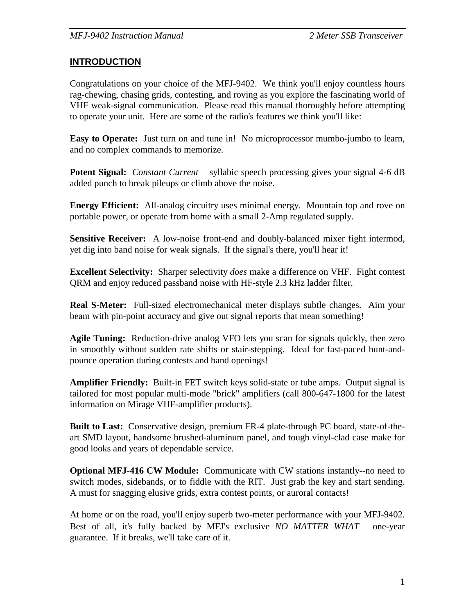### **INTRODUCTION**

Congratulations on your choice of the MFJ-9402. We think you'll enjoy countless hours rag-chewing, chasing grids, contesting, and roving as you explore the fascinating world of VHF weak-signal communication. Please read this manual thoroughly before attempting to operate your unit. Here are some of the radio's features we think you'll like:

**Easy to Operate:** Just turn on and tune in! No microprocessor mumbo-jumbo to learn, and no complex commands to memorize.

**Potent Signal:** *Constant Current™* syllabic speech processing gives your signal 4-6 dB added punch to break pileups or climb above the noise.

**Energy Efficient:** All-analog circuitry uses minimal energy. Mountain top and rove on portable power, or operate from home with a small 2-Amp regulated supply.

**Sensitive Receiver:** A low-noise front-end and doubly-balanced mixer fight intermod, yet dig into band noise for weak signals. If the signal's there, you'll hear it!

**Excellent Selectivity:** Sharper selectivity *does* make a difference on VHF. Fight contest QRM and enjoy reduced passband noise with HF-style 2.3 kHz ladder filter.

**Real S-Meter:** Full-sized electromechanical meter displays subtle changes. Aim your beam with pin-point accuracy and give out signal reports that mean something!

**Agile Tuning:** Reduction-drive analog VFO lets you scan for signals quickly, then zero in smoothly without sudden rate shifts or stair-stepping. Ideal for fast-paced hunt-andpounce operation during contests and band openings!

**Amplifier Friendly:** Built-in FET switch keys solid-state or tube amps. Output signal is tailored for most popular multi-mode "brick" amplifiers (call 800-647-1800 for the latest information on Mirage VHF-amplifier products).

**Built to Last:** Conservative design, premium FR-4 plate-through PC board, state-of-theart SMD layout, handsome brushed-aluminum panel, and tough vinyl-clad case make for good looks and years of dependable service.

**Optional MFJ-416 CW Module:** Communicate with CW stations instantly--no need to switch modes, sidebands, or to fiddle with the RIT. Just grab the key and start sending. A must for snagging elusive grids, extra contest points, or auroral contacts!

At home or on the road, you'll enjoy superb two-meter performance with your MFJ-9402. Best of all, it's fully backed by MFJ's exclusive *NO MATTER WHAT*<sup>*IM*</sup> one-year guarantee. If it breaks, we'll take care of it.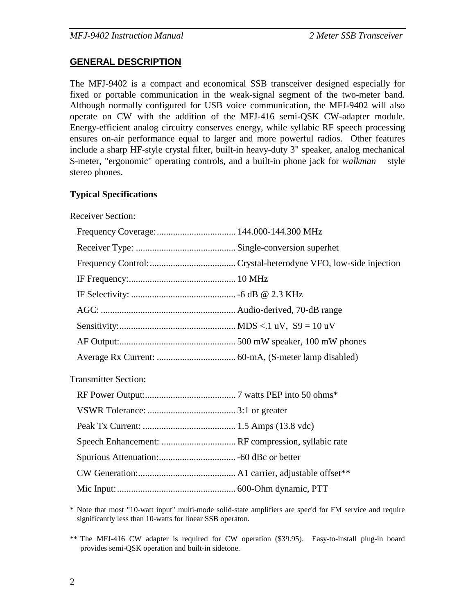### **GENERAL DESCRIPTION**

The MFJ-9402 is a compact and economical SSB transceiver designed especially for fixed or portable communication in the weak-signal segment of the two-meter band. Although normally configured for USB voice communication, the MFJ-9402 will also operate on CW with the addition of the MFJ-416 semi-QSK CW-adapter module. Energy-efficient analog circuitry conserves energy, while syllabic RF speech processing ensures on-air performance equal to larger and more powerful radios. Other features include a sharp HF-style crystal filter, built-in heavy-duty 3" speaker, analog mechanical S-meter, "ergonomic" operating controls, and a built-in phone jack for *walkman*<sup>TM</sup> style stereo phones.

### **Typical Specifications**

Receiver Section:

| <b>Transmitter Section:</b> |  |
|-----------------------------|--|
|                             |  |
|                             |  |
|                             |  |
|                             |  |
|                             |  |
|                             |  |
|                             |  |

\* Note that most "10-watt input" multi-mode solid-state amplifiers are spec'd for FM service and require significantly less than 10-watts for linear SSB operaton.

\*\* The MFJ-416 CW adapter is required for CW operation (\$39.95). Easy-to-install plug-in board provides semi-QSK operation and built-in sidetone.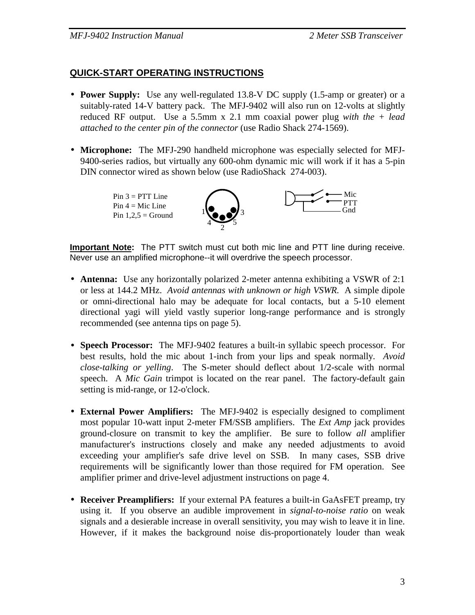## **QUICK-START OPERATING INSTRUCTIONS**

- **Power Supply:** Use any well-regulated 13.8-V DC supply (1.5-amp or greater) or a suitably-rated 14-V battery pack. The MFJ-9402 will also run on 12-volts at slightly reduced RF output. Use a 5.5mm x 2.1 mm coaxial power plug *with the + lead attached to the center pin of the connector* (use Radio Shack 274-1569).
- **Microphone:** The MFJ-290 handheld microphone was especially selected for MFJ-9400-series radios, but virtually any 600-ohm dynamic mic will work if it has a 5-pin DIN connector wired as shown below (use RadioShack 274-003).

 $Pin 3 = PTT$  Line Pin  $4 =$  Mic Line Pin  $1.2.5$  = Ground



**Important Note:** The PTT switch must cut both mic line and PTT line during receive. Never use an amplified microphone--it will overdrive the speech processor.

- **Antenna:** Use any horizontally polarized 2-meter antenna exhibiting a VSWR of 2:1 or less at 144.2 MHz. *Avoid antennas with unknown or high VSWR.* A simple dipole or omni-directional halo may be adequate for local contacts, but a 5-10 element directional yagi will yield vastly superior long-range performance and is strongly recommended (see antenna tips on page 5).
- • **Speech Processor:** The MFJ-9402 features a built-in syllabic speech processor. For best results, hold the mic about 1-inch from your lips and speak normally. *Avoid close-talking or yelling*. The S-meter should deflect about 1/2-scale with normal speech. A *Mic Gain* trimpot is located on the rear panel. The factory-default gain setting is mid-range, or 12-o'clock.
- • **External Power Amplifiers:** The MFJ-9402 is especially designed to compliment most popular 10-watt input 2-meter FM/SSB amplifiers. The *Ext Amp* jack provides ground-closure on transmit to key the amplifier. Be sure to follow *all* amplifier manufacturer's instructions closely and make any needed adjustments to avoid exceeding your amplifier's safe drive level on SSB. In many cases, SSB drive requirements will be significantly lower than those required for FM operation. See amplifier primer and drive-level adjustment instructions on page 4.
- • **Receiver Preamplifiers:** If your external PA features a built-in GaAsFET preamp, try using it. If you observe an audible improvement in *signal-to-noise ratio* on weak signals and a desierable increase in overall sensitivity, you may wish to leave it in line. However, if it makes the background noise dis-proportionately louder than weak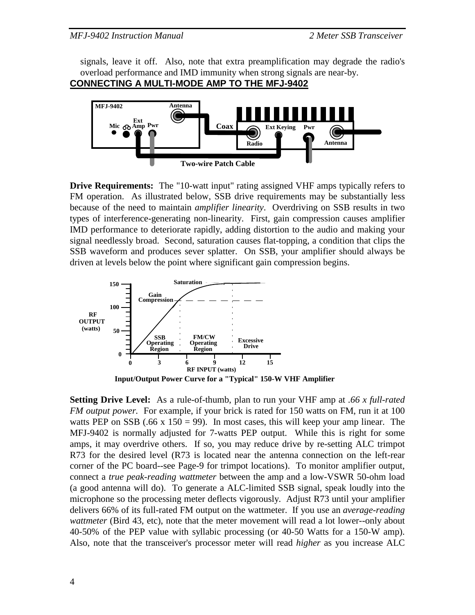*MFJ-9402 Instruction Manual 2 Meter SSB Transceiver* 

signals, leave it off. Also, note that extra preamplification may degrade the radio's overload performance and IMD immunity when strong signals are near-by.

**CONNECTING A MULTI-MODE AMP TO THE MFJ-9402**



**Drive Requirements:** The "10-watt input" rating assigned VHF amps typically refers to FM operation. As illustrated below, SSB drive requirements may be substantially less because of the need to maintain *amplifier linearity*. Overdriving on SSB results in two types of interference-generating non-linearity. First, gain compression causes amplifier IMD performance to deteriorate rapidly, adding distortion to the audio and making your signal needlessly broad. Second, saturation causes flat-topping, a condition that clips the SSB waveform and produces sever splatter. On SSB, your amplifier should always be driven at levels below the point where significant gain compression begins.



**Setting Drive Level:** As a rule-of-thumb, plan to run your VHF amp at *.66 x full-rated FM output power.* For example, if your brick is rated for 150 watts on FM, run it at 100 watts PEP on SSB (.66 x 150 = 99). In most cases, this will keep your amp linear. The MFJ-9402 is normally adjusted for 7-watts PEP output. While this is right for some amps, it may overdrive others. If so, you may reduce drive by re-setting ALC trimpot R73 for the desired level (R73 is located near the antenna connection on the left-rear corner of the PC board--see Page-9 for trimpot locations). To monitor amplifier output, connect a *true peak-reading wattmeter* between the amp and a low-VSWR 50-ohm load (a good antenna will do). To generate a ALC-limited SSB signal, speak loudly into the microphone so the processing meter deflects vigorously. Adjust R73 until your amplifier delivers 66% of its full-rated FM output on the wattmeter. If you use an *average-reading wattmeter* (Bird 43, etc), note that the meter movement will read a lot lower--only about 40-50% of the PEP value with syllabic processing (or 40-50 Watts for a 150-W amp). Also, note that the transceiver's processor meter will read *higher* as you increase ALC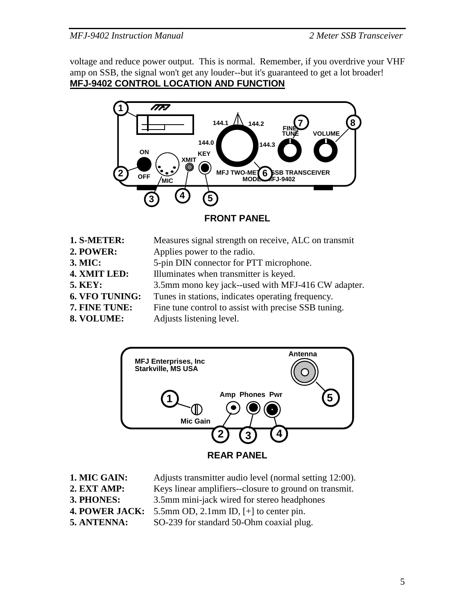voltage and reduce power output. This is normal. Remember, if you overdrive your VHF amp on SSB, the signal won't get any louder--but it's guaranteed to get a lot broader! **MFJ-9402 CONTROL LOCATION AND FUNCTION**



**FRONT PANEL** 

| 1. S-METER:           | Measures signal strength on receive, ALC on transmit |
|-----------------------|------------------------------------------------------|
| 2. POWER:             | Applies power to the radio.                          |
| 3. MIC:               | 5-pin DIN connector for PTT microphone.              |
| 4. XMIT LED:          | Illuminates when transmitter is keyed.               |
| <b>5. KEY:</b>        | 3.5mm mono key jack--used with MFJ-416 CW adapter.   |
| <b>6. VFO TUNING:</b> | Tunes in stations, indicates operating frequency.    |
| 7. FINE TUNE:         | Fine tune control to assist with precise SSB tuning. |
| 8. VOLUME:            | Adjusts listening level.                             |
|                       |                                                      |



**REAR PANEL** 

- **1. MIC GAIN:** Adjusts transmitter audio level (normal setting 12:00).
- **2. EXT AMP:** Keys linear amplifiers--closure to ground on transmit.
- **3. PHONES:** 3.5mm mini-jack wired for stereo headphones
- **4. POWER JACK:** 5.5mm OD, 2.1mm ID, [+] to center pin.
- **5. ANTENNA:** SO-239 for standard 50-Ohm coaxial plug.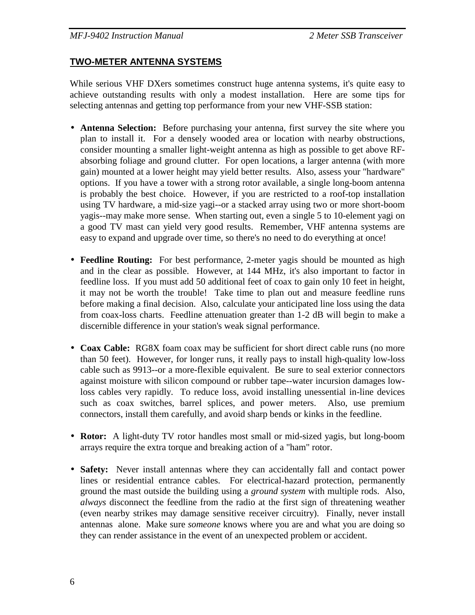## **TWO-METER ANTENNA SYSTEMS**

While serious VHF DXers sometimes construct huge antenna systems, it's quite easy to achieve outstanding results with only a modest installation. Here are some tips for selecting antennas and getting top performance from your new VHF-SSB station:

- • **Antenna Selection:** Before purchasing your antenna, first survey the site where you plan to install it. For a densely wooded area or location with nearby obstructions, consider mounting a smaller light-weight antenna as high as possible to get above RFabsorbing foliage and ground clutter. For open locations, a larger antenna (with more gain) mounted at a lower height may yield better results. Also, assess your "hardware" options. If you have a tower with a strong rotor available, a single long-boom antenna is probably the best choice. However, if you are restricted to a roof-top installation using TV hardware, a mid-size yagi--or a stacked array using two or more short-boom yagis--may make more sense. When starting out, even a single 5 to 10-element yagi on a good TV mast can yield very good results. Remember, VHF antenna systems are easy to expand and upgrade over time, so there's no need to do everything at once!
- **Feedline Routing:** For best performance, 2-meter yagis should be mounted as high and in the clear as possible. However, at 144 MHz, it's also important to factor in feedline loss. If you must add 50 additional feet of coax to gain only 10 feet in height, it may not be worth the trouble! Take time to plan out and measure feedline runs before making a final decision. Also, calculate your anticipated line loss using the data from coax-loss charts. Feedline attenuation greater than 1-2 dB will begin to make a discernible difference in your station's weak signal performance.
- **Coax Cable:** RG8X foam coax may be sufficient for short direct cable runs (no more than 50 feet). However, for longer runs, it really pays to install high-quality low-loss cable such as 9913--or a more-flexible equivalent. Be sure to seal exterior connectors against moisture with silicon compound or rubber tape--water incursion damages lowloss cables very rapidly. To reduce loss, avoid installing unessential in-line devices such as coax switches, barrel splices, and power meters. Also, use premium connectors, install them carefully, and avoid sharp bends or kinks in the feedline.
- **Rotor:** A light-duty TV rotor handles most small or mid-sized yagis, but long-boom arrays require the extra torque and breaking action of a "ham" rotor.
- • **Safety:** Never install antennas where they can accidentally fall and contact power lines or residential entrance cables. For electrical-hazard protection, permanently ground the mast outside the building using a *ground system* with multiple rods. Also, *always* disconnect the feedline from the radio at the first sign of threatening weather (even nearby strikes may damage sensitive receiver circuitry). Finally, never install antennas alone. Make sure *someone* knows where you are and what you are doing so they can render assistance in the event of an unexpected problem or accident.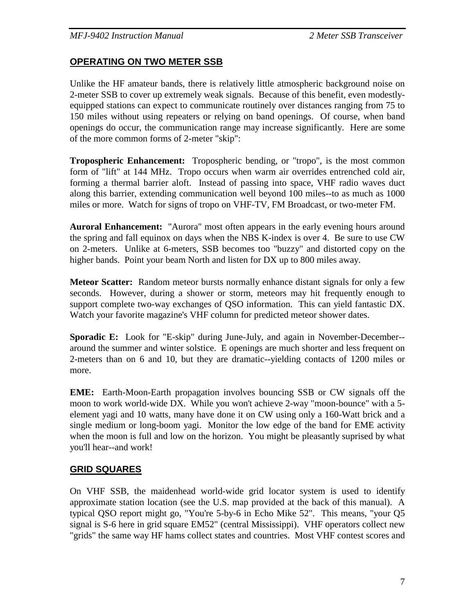### **OPERATING ON TWO METER SSB**

Unlike the HF amateur bands, there is relatively little atmospheric background noise on 2-meter SSB to cover up extremely weak signals. Because of this benefit, even modestlyequipped stations can expect to communicate routinely over distances ranging from 75 to 150 miles without using repeaters or relying on band openings. Of course, when band openings do occur, the communication range may increase significantly. Here are some of the more common forms of 2-meter "skip":

**Tropospheric Enhancement:** Tropospheric bending, or "tropo", is the most common form of "lift" at 144 MHz. Tropo occurs when warm air overrides entrenched cold air, forming a thermal barrier aloft. Instead of passing into space, VHF radio waves duct along this barrier, extending communication well beyond 100 miles--to as much as 1000 miles or more. Watch for signs of tropo on VHF-TV, FM Broadcast, or two-meter FM.

**Auroral Enhancement:** "Aurora" most often appears in the early evening hours around the spring and fall equinox on days when the NBS K-index is over 4. Be sure to use CW on 2-meters. Unlike at 6-meters, SSB becomes too "buzzy" and distorted copy on the higher bands. Point your beam North and listen for DX up to 800 miles away.

**Meteor Scatter:** Random meteor bursts normally enhance distant signals for only a few seconds. However, during a shower or storm, meteors may hit frequently enough to support complete two-way exchanges of QSO information. This can yield fantastic DX. Watch your favorite magazine's VHF column for predicted meteor shower dates.

**Sporadic E:** Look for "E-skip" during June-July, and again in November-December-around the summer and winter solstice. E openings are much shorter and less frequent on 2-meters than on 6 and 10, but they are dramatic--yielding contacts of 1200 miles or more.

**EME:** Earth-Moon-Earth propagation involves bouncing SSB or CW signals off the moon to work world-wide DX. While you won't achieve 2-way "moon-bounce" with a 5 element yagi and 10 watts, many have done it on CW using only a 160-Watt brick and a single medium or long-boom yagi. Monitor the low edge of the band for EME activity when the moon is full and low on the horizon. You might be pleasantly suprised by what you'll hear--and work!

## **GRID SQUARES**

On VHF SSB, the maidenhead world-wide grid locator system is used to identify approximate station location (see the U.S. map provided at the back of this manual). A typical QSO report might go, "You're 5-by-6 in Echo Mike 52". This means, "your Q5 signal is S-6 here in grid square EM52" (central Mississippi). VHF operators collect new "grids" the same way HF hams collect states and countries. Most VHF contest scores and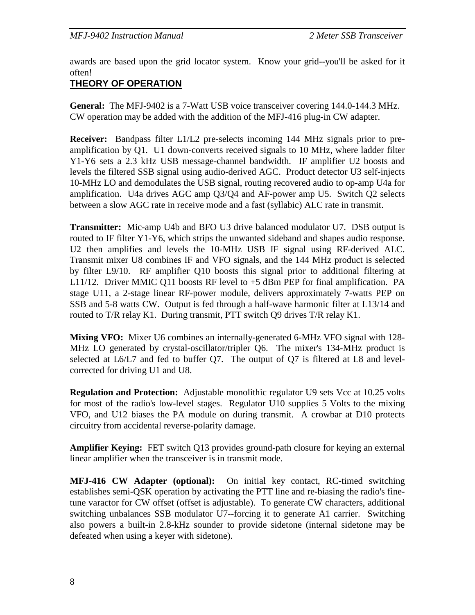awards are based upon the grid locator system. Know your grid--you'll be asked for it often!

# **THEORY OF OPERATION**

**General:** The MFJ-9402 is a 7-Watt USB voice transceiver covering 144.0-144.3 MHz. CW operation may be added with the addition of the MFJ-416 plug-in CW adapter.

**Receiver:** Bandpass filter L1/L2 pre-selects incoming 144 MHz signals prior to preamplification by Q1. U1 down-converts received signals to 10 MHz, where ladder filter Y1-Y6 sets a 2.3 kHz USB message-channel bandwidth. IF amplifier U2 boosts and levels the filtered SSB signal using audio-derived AGC. Product detector U3 self-injects 10-MHz LO and demodulates the USB signal, routing recovered audio to op-amp U4a for amplification. U4a drives AGC amp Q3/Q4 and AF-power amp U5. Switch Q2 selects between a slow AGC rate in receive mode and a fast (syllabic) ALC rate in transmit.

**Transmitter:** Mic-amp U4b and BFO U3 drive balanced modulator U7. DSB output is routed to IF filter Y1-Y6, which strips the unwanted sideband and shapes audio response. U2 then amplifies and levels the 10-MHz USB IF signal using RF-derived ALC. Transmit mixer U8 combines IF and VFO signals, and the 144 MHz product is selected by filter L9/10. RF amplifier Q10 boosts this signal prior to additional filtering at L11/12. Driver MMIC Q11 boosts RF level to +5 dBm PEP for final amplification. PA stage U11, a 2-stage linear RF-power module, delivers approximately 7-watts PEP on SSB and 5-8 watts CW. Output is fed through a half-wave harmonic filter at L13/14 and routed to T/R relay K1. During transmit, PTT switch Q9 drives T/R relay K1.

**Mixing VFO:** Mixer U6 combines an internally-generated 6-MHz VFO signal with 128- MHz LO generated by crystal-oscillator/tripler Q6. The mixer's 134-MHz product is selected at L6/L7 and fed to buffer Q7. The output of Q7 is filtered at L8 and levelcorrected for driving U1 and U8.

**Regulation and Protection:** Adjustable monolithic regulator U9 sets Vcc at 10.25 volts for most of the radio's low-level stages. Regulator U10 supplies 5 Volts to the mixing VFO, and U12 biases the PA module on during transmit. A crowbar at D10 protects circuitry from accidental reverse-polarity damage.

**Amplifier Keying:** FET switch Q13 provides ground-path closure for keying an external linear amplifier when the transceiver is in transmit mode.

**MFJ-416 CW Adapter (optional):** On initial key contact, RC-timed switching establishes semi-QSK operation by activating the PTT line and re-biasing the radio's finetune varactor for CW offset (offset is adjustable). To generate CW characters, additional switching unbalances SSB modulator U7--forcing it to generate A1 carrier. Switching also powers a built-in 2.8-kHz sounder to provide sidetone (internal sidetone may be defeated when using a keyer with sidetone).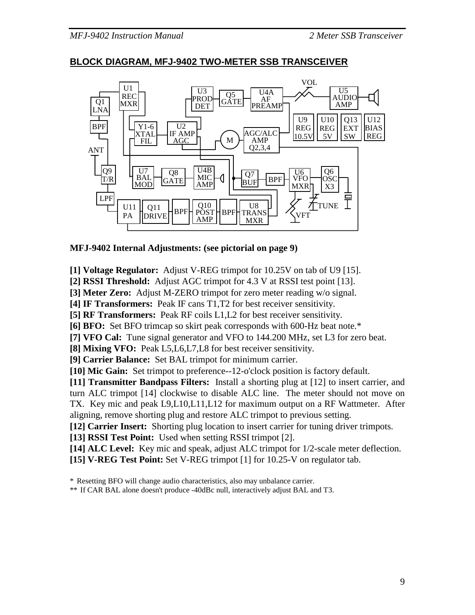#### *MFJ-9402 Instruction Manual 2 Meter SSB Transceiver*



### **BLOCK DIAGRAM, MFJ-9402 TWO-METER SSB TRANSCEIVER**

#### **MFJ-9402 Internal Adjustments: (see pictorial on page 9)**

**[1] Voltage Regulator:** Adjust V-REG trimpot for 10.25V on tab of U9 [15].

**[2] RSSI Threshold:** Adjust AGC trimpot for 4.3 V at RSSI test point [13].

**[3] Meter Zero:** Adjust M-ZERO trimpot for zero meter reading w/o signal.

**[4] IF Transformers:** Peak IF cans T1,T2 for best receiver sensitivity.

**[5] RF Transformers:** Peak RF coils L1,L2 for best receiver sensitivity.

**[6] BFO:** Set BFO trimcap so skirt peak corresponds with 600-Hz beat note.\*

**[7] VFO Cal:** Tune signal generator and VFO to 144.200 MHz, set L3 for zero beat.

**[8] Mixing VFO:** Peak L5,L6,L7,L8 for best receiver sensitivity.

**[9] Carrier Balance:** Set BAL trimpot for minimum carrier.

**[10] Mic Gain:** Set trimpot to preference--12-o'clock position is factory default.

**[11] Transmitter Bandpass Filters:** Install a shorting plug at [12] to insert carrier, and turn ALC trimpot [14] clockwise to disable ALC line. The meter should not move on TX. Key mic and peak L9,L10,L11,L12 for maximum output on a RF Wattmeter. After aligning, remove shorting plug and restore ALC trimpot to previous setting.

**[12] Carrier Insert:** Shorting plug location to insert carrier for tuning driver trimpots.

**[13] RSSI Test Point:** Used when setting RSSI trimpot [2].

[14] **ALC Level:** Key mic and speak, adjust ALC trimpot for 1/2-scale meter deflection. **[15] V-REG Test Point:** Set V-REG trimpot [1] for 10.25-V on regulator tab.

\* Resetting BFO will change audio characteristics, also may unbalance carrier.

<sup>\*\*</sup> If CAR BAL alone doesn't produce -40dBc null, interactively adjust BAL and T3.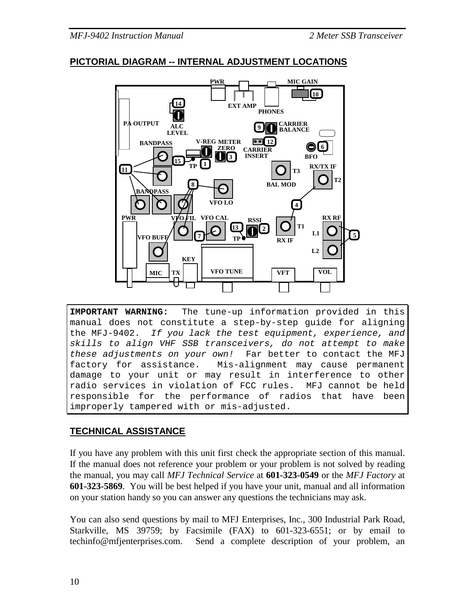## **PICTORIAL DIAGRAM -- INTERNAL ADJUSTMENT LOCATIONS**



**IMPORTANT WARNING:** The tune-up information provided in this manual does not constitute a step-by-step guide for aligning the MFJ-9402. If you lack the test equipment, experience, and skills to align VHF SSB transceivers, do not attempt to make these adjustments on your own! Far better to contact the MFJ factory for assistance. Mis-alignment may cause permanent damage to your unit or may result in interference to other radio services in violation of FCC rules. MFJ cannot be held responsible for the performance of radios that have been improperly tampered with or mis-adjusted.

# **TECHNICAL ASSISTANCE**

If you have any problem with this unit first check the appropriate section of this manual. If the manual does not reference your problem or your problem is not solved by reading the manual, you may call *MFJ Technical Service* at **601-323-0549** or the *MFJ Factory* at **601-323-5869**. You will be best helped if you have your unit, manual and all information on your station handy so you can answer any questions the technicians may ask.

You can also send questions by mail to MFJ Enterprises, Inc., 300 Industrial Park Road, Starkville, MS 39759; by Facsimile (FAX) to 601-323-6551; or by email to techinfo@mfjenterprises.com. Send a complete description of your problem, an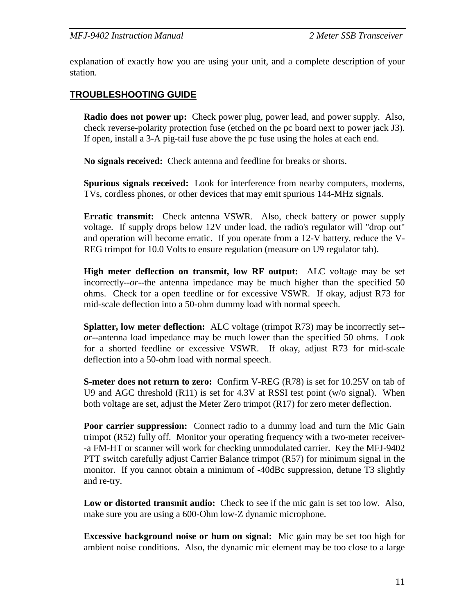explanation of exactly how you are using your unit, and a complete description of your station.

## **TROUBLESHOOTING GUIDE**

 **Radio does not power up:** Check power plug, power lead, and power supply. Also, check reverse-polarity protection fuse (etched on the pc board next to power jack J3). If open, install a 3-A pig-tail fuse above the pc fuse using the holes at each end.

 **No signals received:** Check antenna and feedline for breaks or shorts.

 **Spurious signals received:** Look for interference from nearby computers, modems, TVs, cordless phones, or other devices that may emit spurious 144-MHz signals.

 **Erratic transmit:** Check antenna VSWR. Also, check battery or power supply voltage. If supply drops below 12V under load, the radio's regulator will "drop out" and operation will become erratic. If you operate from a 12-V battery, reduce the V-REG trimpot for 10.0 Volts to ensure regulation (measure on U9 regulator tab).

 **High meter deflection on transmit, low RF output:** ALC voltage may be set incorrectly--*or--*the antenna impedance may be much higher than the specified 50 ohms. Check for a open feedline or for excessive VSWR. If okay, adjust R73 for mid-scale deflection into a 50-ohm dummy load with normal speech.

 **Splatter, low meter deflection:** ALC voltage (trimpot R73) may be incorrectly set- *or--*antenna load impedance may be much lower than the specified 50 ohms. Look for a shorted feedline or excessive VSWR. If okay, adjust R73 for mid-scale deflection into a 50-ohm load with normal speech.

 **S-meter does not return to zero:** Confirm V-REG (R78) is set for 10.25V on tab of U9 and AGC threshold (R11) is set for 4.3V at RSSI test point (w/o signal). When both voltage are set, adjust the Meter Zero trimpot (R17) for zero meter deflection.

**Poor carrier suppression:** Connect radio to a dummy load and turn the Mic Gain trimpot (R52) fully off. Monitor your operating frequency with a two-meter receiver- -a FM-HT or scanner will work for checking unmodulated carrier. Key the MFJ-9402 PTT switch carefully adjust Carrier Balance trimpot (R57) for minimum signal in the monitor. If you cannot obtain a minimum of -40dBc suppression, detune T3 slightly and re-try.

 **Low or distorted transmit audio:** Check to see if the mic gain is set too low. Also, make sure you are using a 600-Ohm low-Z dynamic microphone.

 **Excessive background noise or hum on signal:** Mic gain may be set too high for ambient noise conditions. Also, the dynamic mic element may be too close to a large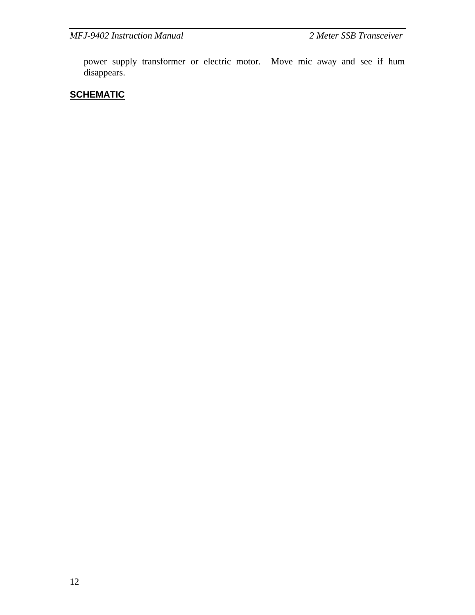power supply transformer or electric motor. Move mic away and see if hum disappears.

# **SCHEMATIC**